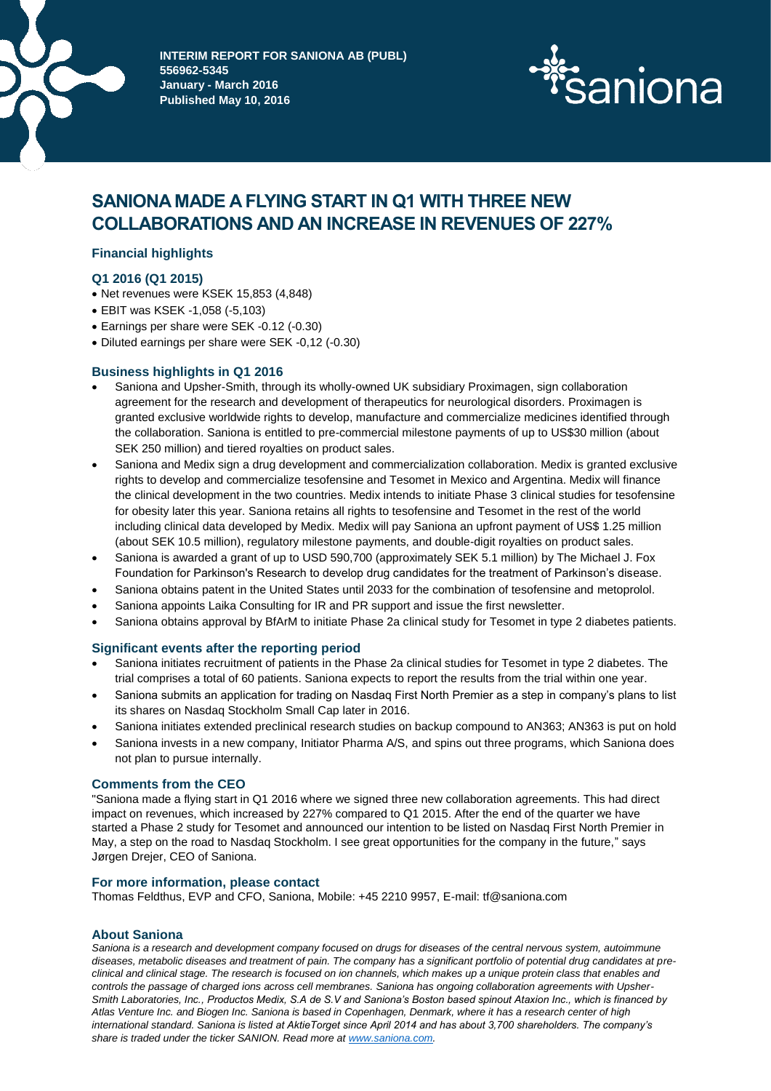

**INTERIM REPORT FOR SANIONA AB (PUBL) 556962-5345 January - March 2016 Published May 10, 2016**



# **SANIONA MADE A FLYING START IN Q1 WITH THREE NEW COLLABORATIONS AND AN INCREASE IN REVENUES OF 227%**

# **Financial highlights**

# **Q1 2016 (Q1 2015)**

- Net revenues were KSEK 15,853 (4,848)
- EBIT was KSEK -1,058 (-5,103)
- Earnings per share were SEK -0.12 (-0.30)
- Diluted earnings per share were SEK -0,12 (-0.30)

# **Business highlights in Q1 2016**

- Saniona and Upsher-Smith, through its wholly-owned UK subsidiary Proximagen, sign collaboration agreement for the research and development of therapeutics for neurological disorders. Proximagen is granted exclusive worldwide rights to develop, manufacture and commercialize medicines identified through the collaboration. Saniona is entitled to pre-commercial milestone payments of up to US\$30 million (about SEK 250 million) and tiered royalties on product sales.
- Saniona and Medix sign a drug development and commercialization collaboration. Medix is granted exclusive rights to develop and commercialize tesofensine and Tesomet in Mexico and Argentina. Medix will finance the clinical development in the two countries. Medix intends to initiate Phase 3 clinical studies for tesofensine for obesity later this year. Saniona retains all rights to tesofensine and Tesomet in the rest of the world including clinical data developed by Medix. Medix will pay Saniona an upfront payment of US\$ 1.25 million (about SEK 10.5 million), regulatory milestone payments, and double-digit royalties on product sales.
- Saniona is awarded a grant of up to USD 590,700 (approximately SEK 5.1 million) by The Michael J. Fox Foundation for Parkinson's Research to develop drug candidates for the treatment of Parkinson's disease.
- Saniona obtains patent in the United States until 2033 for the combination of tesofensine and metoprolol.
- Saniona appoints Laika Consulting for IR and PR support and issue the first newsletter.
- Saniona obtains approval by BfArM to initiate Phase 2a clinical study for Tesomet in type 2 diabetes patients.

# **Significant events after the reporting period**

- Saniona initiates recruitment of patients in the Phase 2a clinical studies for Tesomet in type 2 diabetes. The trial comprises a total of 60 patients. Saniona expects to report the results from the trial within one year.
- Saniona submits an application for trading on Nasdaq First North Premier as a step in company's plans to list its shares on Nasdaq Stockholm Small Cap later in 2016.
- Saniona initiates extended preclinical research studies on backup compound to AN363; AN363 is put on hold
- Saniona invests in a new company, Initiator Pharma A/S, and spins out three programs, which Saniona does not plan to pursue internally.

# **Comments from the CEO**

"Saniona made a flying start in Q1 2016 where we signed three new collaboration agreements. This had direct impact on revenues, which increased by 227% compared to Q1 2015. After the end of the quarter we have started a Phase 2 study for Tesomet and announced our intention to be listed on Nasdaq First North Premier in May, a step on the road to Nasdaq Stockholm. I see great opportunities for the company in the future," says Jørgen Drejer, CEO of Saniona.

# **For more information, please contact**

Thomas Feldthus, EVP and CFO, Saniona, Mobile: +45 2210 9957, E-mail: tf@saniona.com

#### **About Saniona**

*Saniona is a research and development company focused on drugs for diseases of the central nervous system, autoimmune diseases, metabolic diseases and treatment of pain. The company has a significant portfolio of potential drug candidates at preclinical and clinical stage. The research is focused on ion channels, which makes up a unique protein class that enables and controls the passage of charged ions across cell membranes. Saniona has ongoing collaboration agreements with Upsher-Smith Laboratories, Inc., Productos Medix, S.A de S.V and Saniona's Boston based spinout Ataxion Inc., which is financed by Atlas Venture Inc. and Biogen Inc. Saniona is based in Copenhagen, Denmark, where it has a research center of high international standard. Saniona is listed at AktieTorget since April 2014 and has about 3,700 shareholders. The company's share is traded under the ticker SANION. Read more at [www.saniona.com.](http://www.saniona.com/)*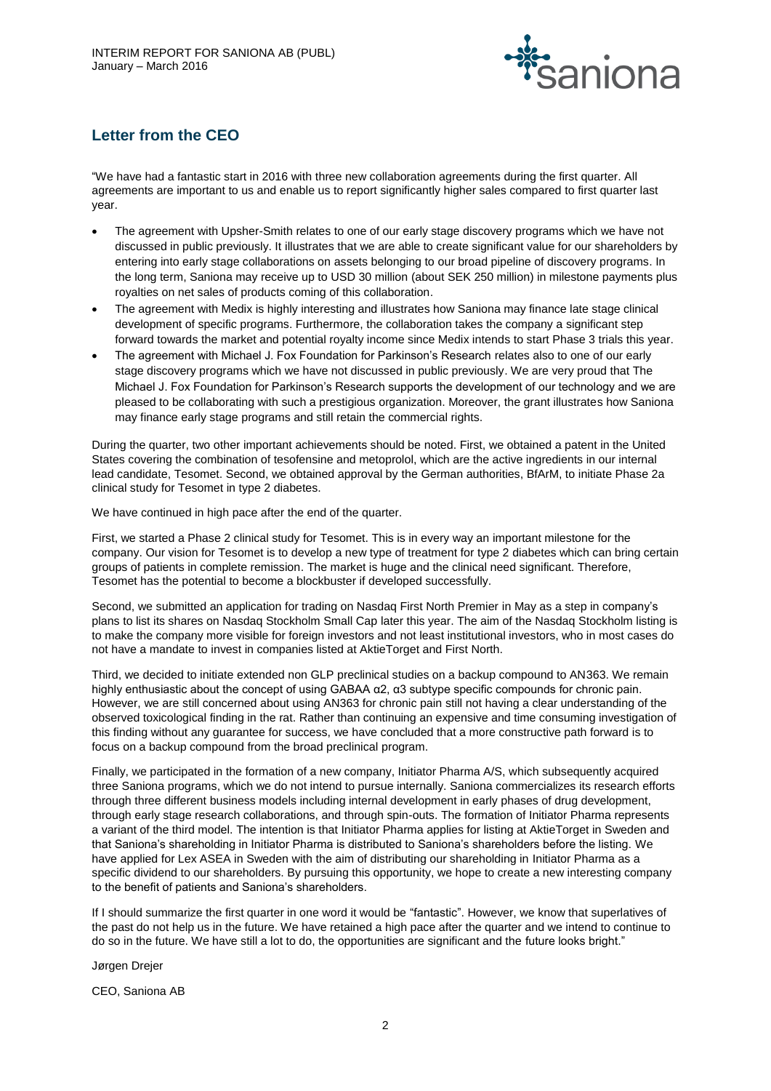

# **Letter from the CEO**

"We have had a fantastic start in 2016 with three new collaboration agreements during the first quarter. All agreements are important to us and enable us to report significantly higher sales compared to first quarter last year.

- The agreement with Upsher-Smith relates to one of our early stage discovery programs which we have not discussed in public previously. It illustrates that we are able to create significant value for our shareholders by entering into early stage collaborations on assets belonging to our broad pipeline of discovery programs. In the long term, Saniona may receive up to USD 30 million (about SEK 250 million) in milestone payments plus royalties on net sales of products coming of this collaboration.
- The agreement with Medix is highly interesting and illustrates how Saniona may finance late stage clinical development of specific programs. Furthermore, the collaboration takes the company a significant step forward towards the market and potential royalty income since Medix intends to start Phase 3 trials this year.
- The agreement with Michael J. Fox Foundation for Parkinson's Research relates also to one of our early stage discovery programs which we have not discussed in public previously. We are very proud that The Michael J. Fox Foundation for Parkinson's Research supports the development of our technology and we are pleased to be collaborating with such a prestigious organization. Moreover, the grant illustrates how Saniona may finance early stage programs and still retain the commercial rights.

During the quarter, two other important achievements should be noted. First, we obtained a patent in the United States covering the combination of tesofensine and metoprolol, which are the active ingredients in our internal lead candidate, Tesomet. Second, we obtained approval by the German authorities, BfArM, to initiate Phase 2a clinical study for Tesomet in type 2 diabetes.

We have continued in high pace after the end of the quarter.

First, we started a Phase 2 clinical study for Tesomet. This is in every way an important milestone for the company. Our vision for Tesomet is to develop a new type of treatment for type 2 diabetes which can bring certain groups of patients in complete remission. The market is huge and the clinical need significant. Therefore, Tesomet has the potential to become a blockbuster if developed successfully.

Second, we submitted an application for trading on Nasdaq First North Premier in May as a step in company's plans to list its shares on Nasdaq Stockholm Small Cap later this year. The aim of the Nasdaq Stockholm listing is to make the company more visible for foreign investors and not least institutional investors, who in most cases do not have a mandate to invest in companies listed at AktieTorget and First North.

Third, we decided to initiate extended non GLP preclinical studies on a backup compound to AN363. We remain highly enthusiastic about the concept of using GABAA α2, α3 subtype specific compounds for chronic pain. However, we are still concerned about using AN363 for chronic pain still not having a clear understanding of the observed toxicological finding in the rat. Rather than continuing an expensive and time consuming investigation of this finding without any guarantee for success, we have concluded that a more constructive path forward is to focus on a backup compound from the broad preclinical program.

Finally, we participated in the formation of a new company, Initiator Pharma A/S, which subsequently acquired three Saniona programs, which we do not intend to pursue internally. Saniona commercializes its research efforts through three different business models including internal development in early phases of drug development, through early stage research collaborations, and through spin-outs. The formation of Initiator Pharma represents a variant of the third model. The intention is that Initiator Pharma applies for listing at AktieTorget in Sweden and that Saniona's shareholding in Initiator Pharma is distributed to Saniona's shareholders before the listing. We have applied for Lex ASEA in Sweden with the aim of distributing our shareholding in Initiator Pharma as a specific dividend to our shareholders. By pursuing this opportunity, we hope to create a new interesting company to the benefit of patients and Saniona's shareholders.

If I should summarize the first quarter in one word it would be "fantastic". However, we know that superlatives of the past do not help us in the future. We have retained a high pace after the quarter and we intend to continue to do so in the future. We have still a lot to do, the opportunities are significant and the future looks bright."

Jørgen Drejer

CEO, Saniona AB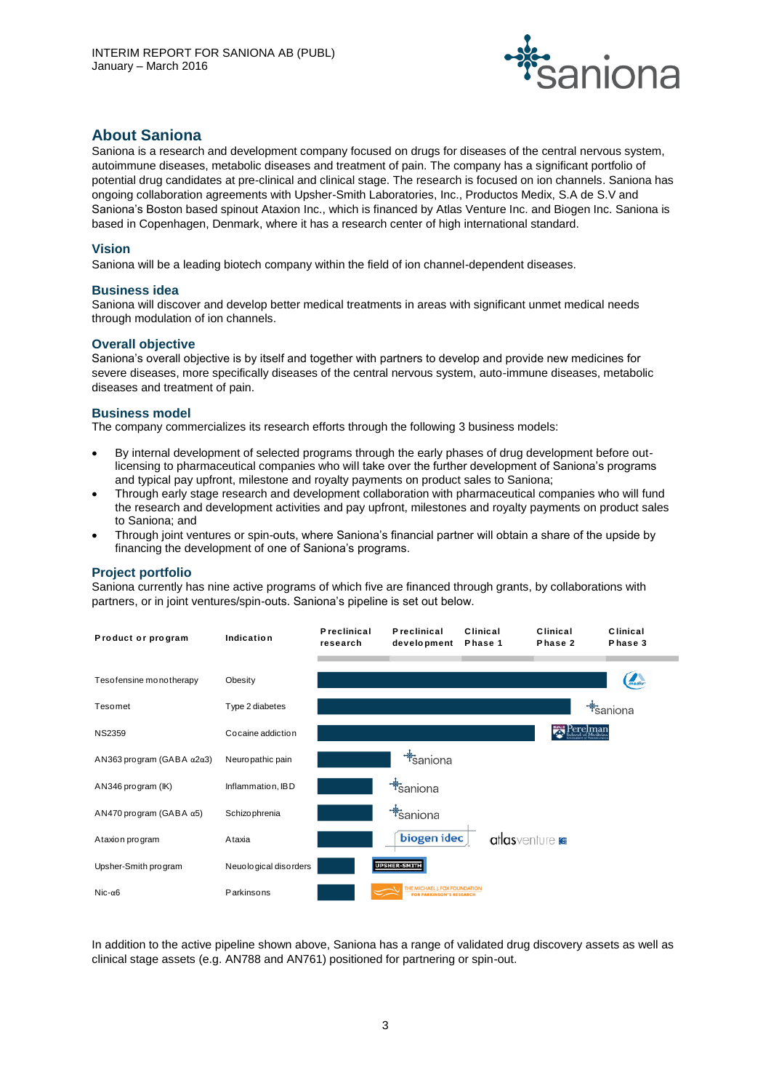

# **About Saniona**

Saniona is a research and development company focused on drugs for diseases of the central nervous system, autoimmune diseases, metabolic diseases and treatment of pain. The company has a significant portfolio of potential drug candidates at pre-clinical and clinical stage. The research is focused on ion channels. Saniona has ongoing collaboration agreements with Upsher-Smith Laboratories, Inc., Productos Medix, S.A de S.V and Saniona's Boston based spinout Ataxion Inc., which is financed by Atlas Venture Inc. and Biogen Inc. Saniona is based in Copenhagen, Denmark, where it has a research center of high international standard.

# **Vision**

Saniona will be a leading biotech company within the field of ion channel-dependent diseases.

#### **Business idea**

Saniona will discover and develop better medical treatments in areas with significant unmet medical needs through modulation of ion channels.

#### **Overall objective**

Saniona's overall objective is by itself and together with partners to develop and provide new medicines for severe diseases, more specifically diseases of the central nervous system, auto-immune diseases, metabolic diseases and treatment of pain.

#### **Business model**

The company commercializes its research efforts through the following 3 business models:

- By internal development of selected programs through the early phases of drug development before outlicensing to pharmaceutical companies who will take over the further development of Saniona's programs and typical pay upfront, milestone and royalty payments on product sales to Saniona;
- Through early stage research and development collaboration with pharmaceutical companies who will fund the research and development activities and pay upfront, milestones and royalty payments on product sales to Saniona; and
- Through joint ventures or spin-outs, where Saniona's financial partner will obtain a share of the upside by financing the development of one of Saniona's programs.

# **Project portfolio**

Saniona currently has nine active programs of which five are financed through grants, by collaborations with partners, or in joint ventures/spin-outs. Saniona's pipeline is set out below.



In addition to the active pipeline shown above, Saniona has a range of validated drug discovery assets as well as clinical stage assets (e.g. AN788 and AN761) positioned for partnering or spin-out.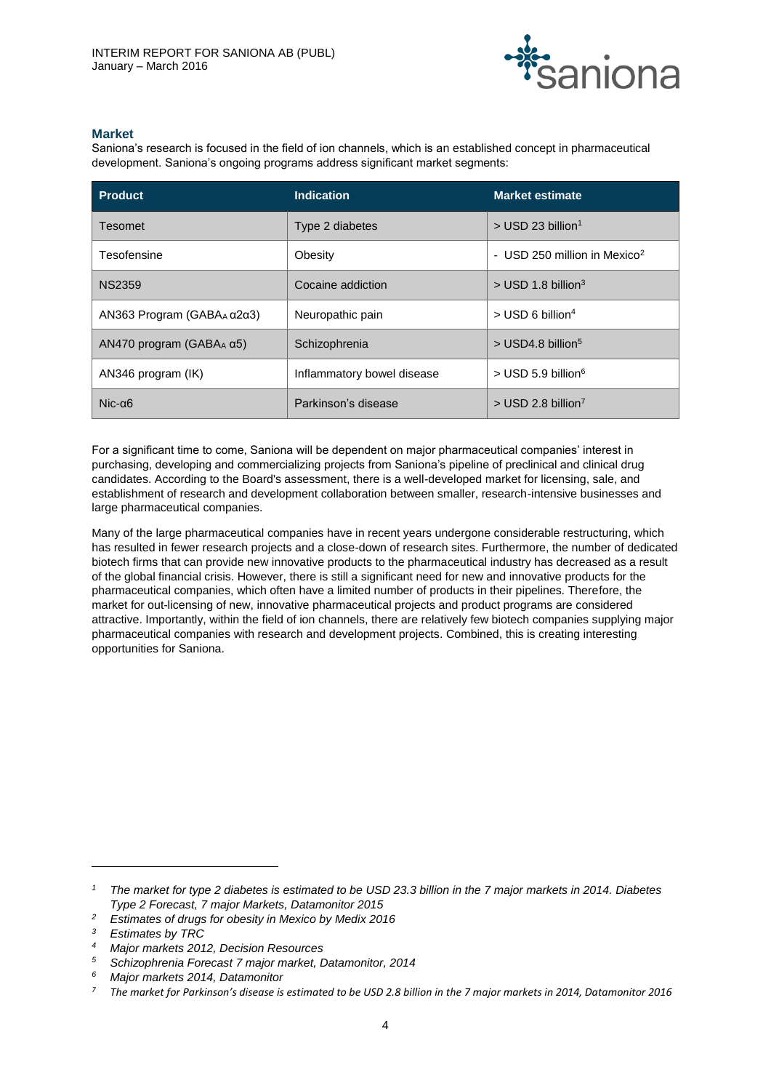

# **Market**

Saniona's research is focused in the field of ion channels, which is an established concept in pharmaceutical development. Saniona's ongoing programs address significant market segments:

| <b>Product</b>                   | <b>Indication</b>          | <b>Market estimate</b>                   |
|----------------------------------|----------------------------|------------------------------------------|
| Tesomet                          | Type 2 diabetes            | $>$ USD 23 billion <sup>1</sup>          |
| Tesofensine                      | Obesity                    | - USD 250 million in Mexico <sup>2</sup> |
| <b>NS2359</b>                    | Cocaine addiction          | $>$ USD 1.8 billion <sup>3</sup>         |
| AN363 Program (GABA $_{A}$ α2α3) | Neuropathic pain           | $>$ USD 6 billion <sup>4</sup>           |
| AN470 program (GABA $_A$ α5)     | Schizophrenia              | $>$ USD4.8 billion <sup>5</sup>          |
| AN346 program (IK)               | Inflammatory bowel disease | $>$ USD 5.9 billion <sup>6</sup>         |
| $Nic-a6$                         | Parkinson's disease        | $>$ USD 2.8 billion <sup>7</sup>         |

For a significant time to come, Saniona will be dependent on major pharmaceutical companies' interest in purchasing, developing and commercializing projects from Saniona's pipeline of preclinical and clinical drug candidates. According to the Board's assessment, there is a well-developed market for licensing, sale, and establishment of research and development collaboration between smaller, research-intensive businesses and large pharmaceutical companies.

Many of the large pharmaceutical companies have in recent years undergone considerable restructuring, which has resulted in fewer research projects and a close-down of research sites. Furthermore, the number of dedicated biotech firms that can provide new innovative products to the pharmaceutical industry has decreased as a result of the global financial crisis. However, there is still a significant need for new and innovative products for the pharmaceutical companies, which often have a limited number of products in their pipelines. Therefore, the market for out-licensing of new, innovative pharmaceutical projects and product programs are considered attractive. Importantly, within the field of ion channels, there are relatively few biotech companies supplying major pharmaceutical companies with research and development projects. Combined, this is creating interesting opportunities for Saniona.

l

*<sup>1</sup> The market for type 2 diabetes is estimated to be USD 23.3 billion in the 7 major markets in 2014. Diabetes Type 2 Forecast, 7 major Markets, Datamonitor 2015*

*<sup>2</sup> Estimates of drugs for obesity in Mexico by Medix 2016*

*<sup>3</sup> Estimates by TRC*

*<sup>4</sup> Major markets 2012, Decision Resources*

*<sup>5</sup> Schizophrenia Forecast 7 major market, Datamonitor, 2014*

*<sup>6</sup> Major markets 2014, Datamonitor*

*<sup>7</sup> The market for Parkinson's disease is estimated to be USD 2.8 billion in the 7 major markets in 2014, Datamonitor 2016*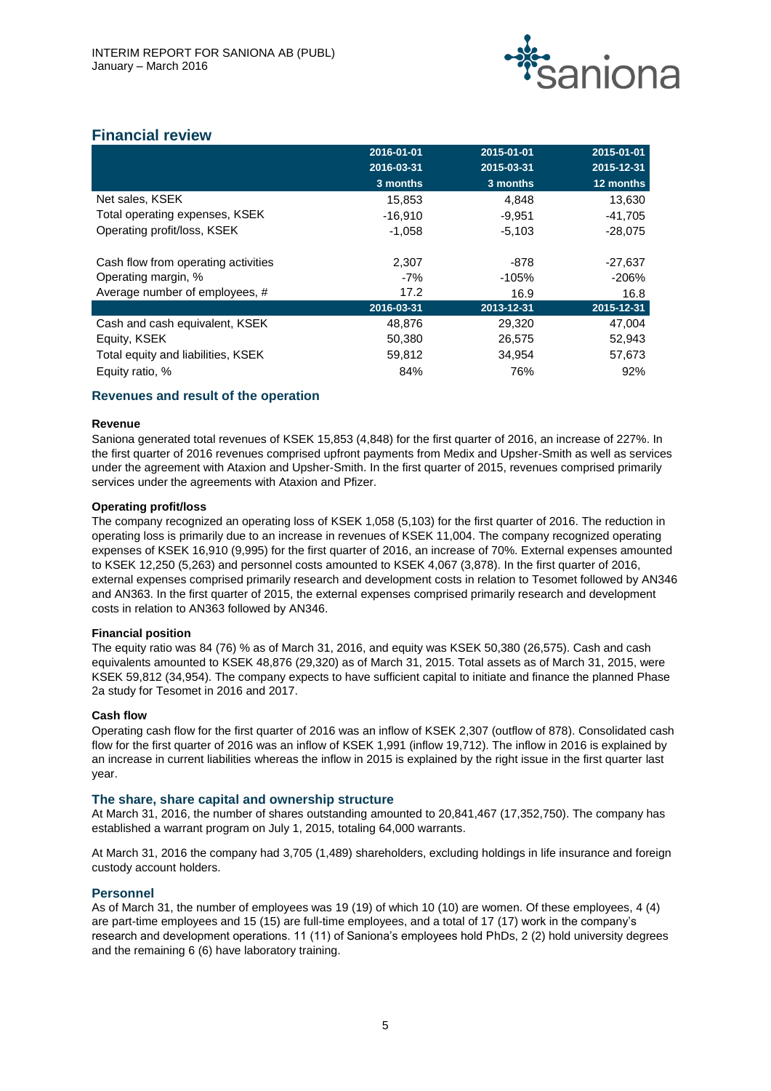

# **Financial review**

|                                     | 2016-01-01 | 2015-01-01 | 2015-01-01 |
|-------------------------------------|------------|------------|------------|
|                                     | 2016-03-31 | 2015-03-31 | 2015-12-31 |
|                                     | 3 months   | 3 months   | 12 months  |
| Net sales, KSEK                     | 15,853     | 4,848      | 13,630     |
| Total operating expenses, KSEK      | $-16,910$  | $-9,951$   | $-41,705$  |
| Operating profit/loss, KSEK         | $-1,058$   | $-5,103$   | $-28,075$  |
| Cash flow from operating activities | 2,307      | -878       | -27,637    |
| Operating margin, %                 | $-7%$      | $-105%$    | $-206%$    |
| Average number of employees, #      | 17.2       | 16.9       | 16.8       |
|                                     | 2016-03-31 | 2013-12-31 | 2015-12-31 |
| Cash and cash equivalent, KSEK      | 48,876     | 29,320     | 47.004     |
| Equity, KSEK                        | 50,380     | 26,575     | 52,943     |
| Total equity and liabilities, KSEK  | 59,812     | 34,954     | 57,673     |
| Equity ratio, %                     | 84%        | 76%        | 92%        |

# **Revenues and result of the operation**

# **Revenue**

Saniona generated total revenues of KSEK 15,853 (4,848) for the first quarter of 2016, an increase of 227%. In the first quarter of 2016 revenues comprised upfront payments from Medix and Upsher-Smith as well as services under the agreement with Ataxion and Upsher-Smith. In the first quarter of 2015, revenues comprised primarily services under the agreements with Ataxion and Pfizer.

# **Operating profit/loss**

The company recognized an operating loss of KSEK 1,058 (5,103) for the first quarter of 2016. The reduction in operating loss is primarily due to an increase in revenues of KSEK 11,004. The company recognized operating expenses of KSEK 16,910 (9,995) for the first quarter of 2016, an increase of 70%. External expenses amounted to KSEK 12,250 (5,263) and personnel costs amounted to KSEK 4,067 (3,878). In the first quarter of 2016, external expenses comprised primarily research and development costs in relation to Tesomet followed by AN346 and AN363. In the first quarter of 2015, the external expenses comprised primarily research and development costs in relation to AN363 followed by AN346.

# **Financial position**

The equity ratio was 84 (76) % as of March 31, 2016, and equity was KSEK 50,380 (26,575). Cash and cash equivalents amounted to KSEK 48,876 (29,320) as of March 31, 2015. Total assets as of March 31, 2015, were KSEK 59,812 (34,954). The company expects to have sufficient capital to initiate and finance the planned Phase 2a study for Tesomet in 2016 and 2017.

# **Cash flow**

Operating cash flow for the first quarter of 2016 was an inflow of KSEK 2,307 (outflow of 878). Consolidated cash flow for the first quarter of 2016 was an inflow of KSEK 1,991 (inflow 19,712). The inflow in 2016 is explained by an increase in current liabilities whereas the inflow in 2015 is explained by the right issue in the first quarter last year.

# **The share, share capital and ownership structure**

At March 31, 2016, the number of shares outstanding amounted to 20,841,467 (17,352,750). The company has established a warrant program on July 1, 2015, totaling 64,000 warrants.

At March 31, 2016 the company had 3,705 (1,489) shareholders, excluding holdings in life insurance and foreign custody account holders.

# **Personnel**

As of March 31, the number of employees was 19 (19) of which 10 (10) are women. Of these employees, 4 (4) are part-time employees and 15 (15) are full-time employees, and a total of 17 (17) work in the company's research and development operations. 11 (11) of Saniona's employees hold PhDs, 2 (2) hold university degrees and the remaining 6 (6) have laboratory training.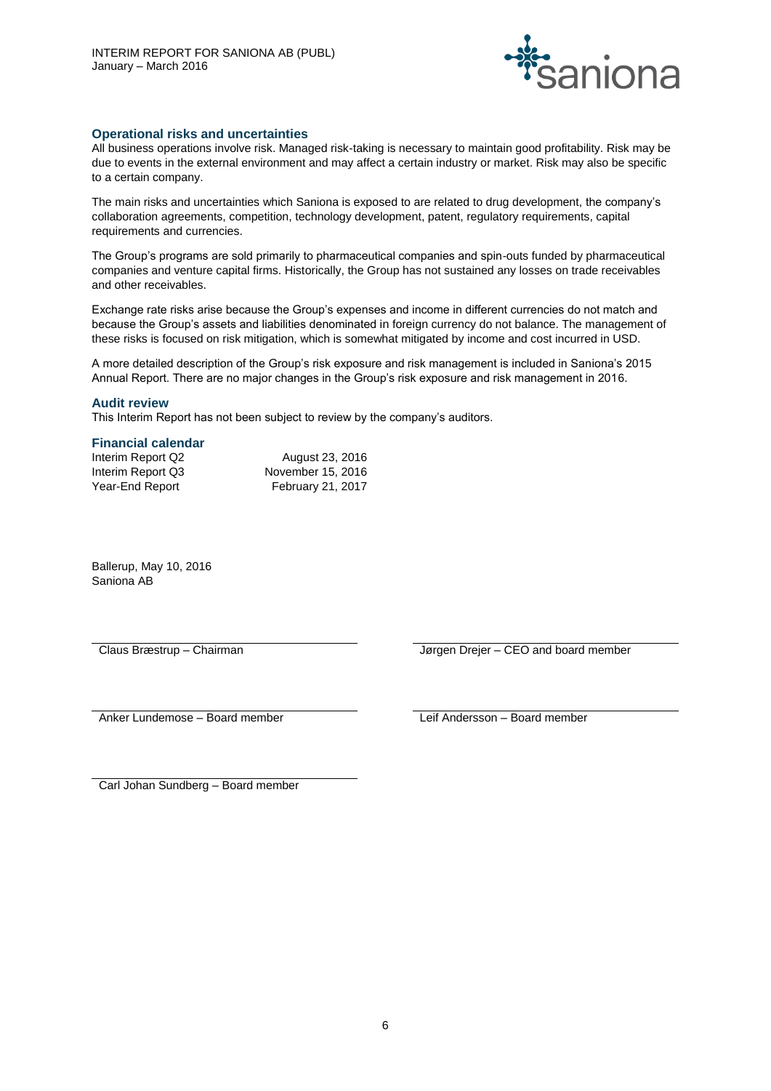

### **Operational risks and uncertainties**

All business operations involve risk. Managed risk-taking is necessary to maintain good profitability. Risk may be due to events in the external environment and may affect a certain industry or market. Risk may also be specific to a certain company.

The main risks and uncertainties which Saniona is exposed to are related to drug development, the company's collaboration agreements, competition, technology development, patent, regulatory requirements, capital requirements and currencies.

The Group's programs are sold primarily to pharmaceutical companies and spin-outs funded by pharmaceutical companies and venture capital firms. Historically, the Group has not sustained any losses on trade receivables and other receivables.

Exchange rate risks arise because the Group's expenses and income in different currencies do not match and because the Group's assets and liabilities denominated in foreign currency do not balance. The management of these risks is focused on risk mitigation, which is somewhat mitigated by income and cost incurred in USD.

A more detailed description of the Group's risk exposure and risk management is included in Saniona's 2015 Annual Report. There are no major changes in the Group's risk exposure and risk management in 2016.

#### **Audit review**

This Interim Report has not been subject to review by the company's auditors.

#### **Financial calendar**

| Interim Report Q2 | August 23, 2016          |
|-------------------|--------------------------|
| Interim Report Q3 | November 15, 2016        |
| Year-End Report   | <b>February 21, 2017</b> |

Ballerup, May 10, 2016 Saniona AB

Claus Bræstrup – Chairman Jørgen Drejer – CEO and board member

Anker Lundemose – Board member Leif Andersson – Board member

Carl Johan Sundberg – Board member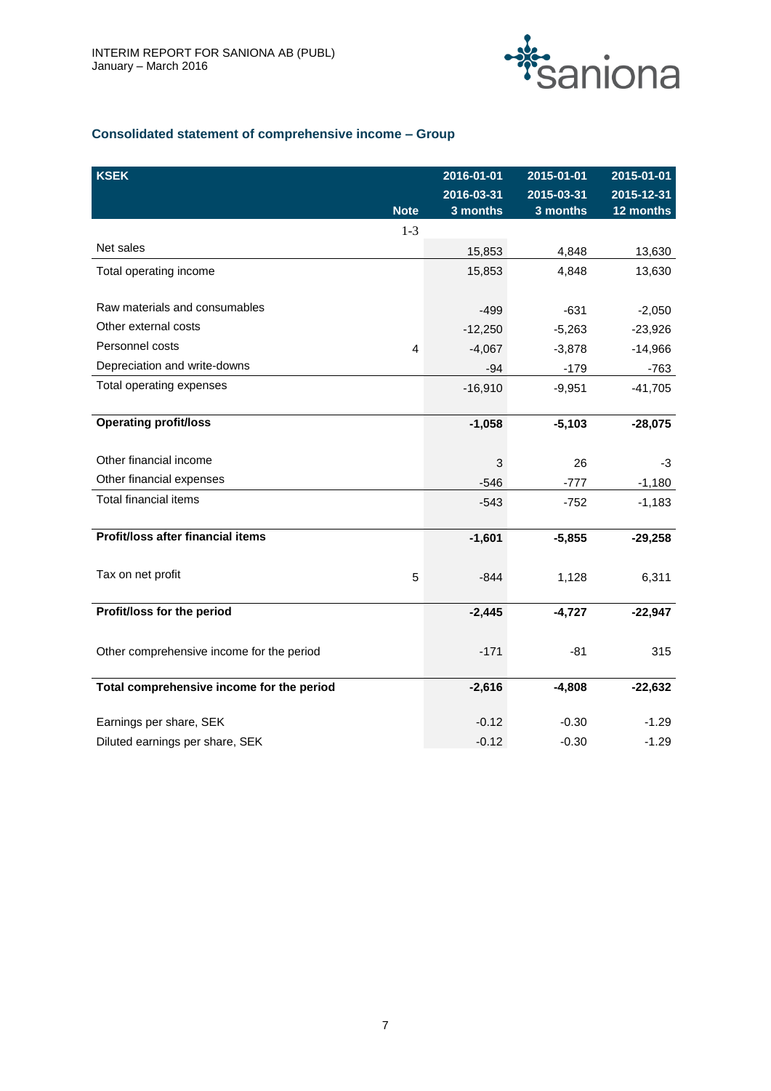

# **Consolidated statement of comprehensive income – Group**

| <b>KSEK</b>                               |             | 2016-01-01<br>2016-03-31 | 2015-01-01<br>2015-03-31 | 2015-01-01<br>2015-12-31 |
|-------------------------------------------|-------------|--------------------------|--------------------------|--------------------------|
|                                           | <b>Note</b> | 3 months                 | 3 months                 | 12 months                |
| Net sales                                 | $1 - 3$     | 15,853                   | 4,848                    | 13,630                   |
| Total operating income                    |             | 15,853                   | 4,848                    | 13,630                   |
| Raw materials and consumables             |             | $-499$                   | $-631$                   | $-2,050$                 |
| Other external costs                      |             | $-12,250$                | $-5,263$                 | $-23,926$                |
| Personnel costs                           | 4           | $-4,067$                 | $-3,878$                 | $-14,966$                |
| Depreciation and write-downs              |             | $-94$                    | $-179$                   | $-763$                   |
| Total operating expenses                  |             | $-16,910$                | $-9,951$                 | $-41,705$                |
| <b>Operating profit/loss</b>              |             | $-1,058$                 | $-5,103$                 | $-28,075$                |
| Other financial income                    |             | 3                        | 26                       | -3                       |
| Other financial expenses                  |             | $-546$                   | $-777$                   | $-1,180$                 |
| <b>Total financial items</b>              |             | $-543$                   | $-752$                   | $-1,183$                 |
| Profit/loss after financial items         |             | $-1,601$                 | $-5,855$                 | $-29,258$                |
| Tax on net profit                         | 5           | $-844$                   | 1,128                    | 6,311                    |
| Profit/loss for the period                |             | $-2,445$                 | $-4,727$                 | $-22,947$                |
| Other comprehensive income for the period |             | $-171$                   | $-81$                    | 315                      |
| Total comprehensive income for the period |             | $-2,616$                 | $-4,808$                 | $-22,632$                |
| Earnings per share, SEK                   |             | $-0.12$                  | $-0.30$                  | $-1.29$                  |
| Diluted earnings per share, SEK           |             | $-0.12$                  | $-0.30$                  | $-1.29$                  |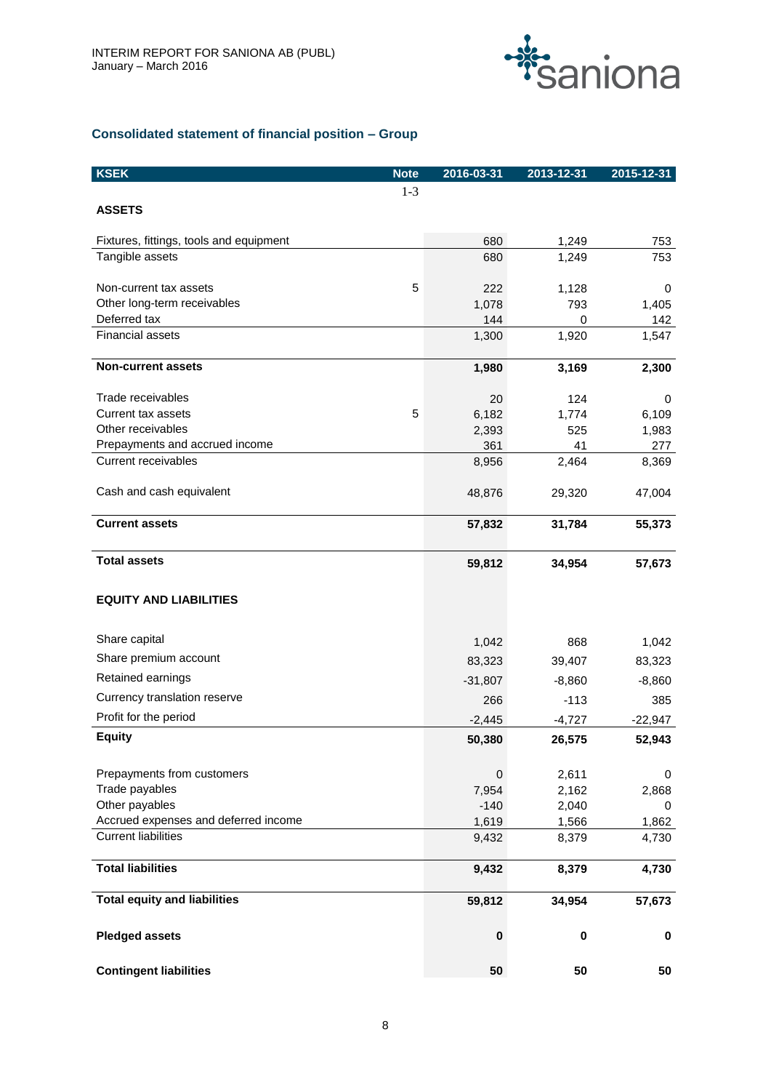

# **Consolidated statement of financial position – Group**

| <b>KSEK</b>                                            | <b>Note</b> | 2016-03-31     | 2013-12-31     | 2015-12-31     |
|--------------------------------------------------------|-------------|----------------|----------------|----------------|
|                                                        | $1 - 3$     |                |                |                |
| <b>ASSETS</b>                                          |             |                |                |                |
|                                                        |             |                |                |                |
| Fixtures, fittings, tools and equipment                |             | 680            | 1,249          | 753            |
| Tangible assets                                        |             | 680            | 1,249          | 753            |
| Non-current tax assets                                 | 5           |                |                |                |
| Other long-term receivables                            |             | 222<br>1,078   | 1,128<br>793   | 0<br>1,405     |
| Deferred tax                                           |             | 144            | 0              | 142            |
| <b>Financial assets</b>                                |             | 1,300          | 1,920          | 1,547          |
|                                                        |             |                |                |                |
| <b>Non-current assets</b>                              |             | 1,980          | 3,169          | 2,300          |
| Trade receivables                                      |             | 20             | 124            | 0              |
| <b>Current tax assets</b>                              | 5           | 6,182          | 1,774          | 6,109          |
| Other receivables                                      |             | 2,393          | 525            | 1,983          |
| Prepayments and accrued income                         |             | 361            | 41             | 277            |
| Current receivables                                    |             | 8,956          | 2,464          | 8,369          |
|                                                        |             |                |                |                |
| Cash and cash equivalent                               |             | 48,876         | 29,320         | 47,004         |
| <b>Current assets</b>                                  |             | 57,832         | 31,784         | 55,373         |
|                                                        |             |                |                |                |
| <b>Total assets</b>                                    |             | 59,812         | 34,954         | 57,673         |
|                                                        |             |                |                |                |
| <b>EQUITY AND LIABILITIES</b>                          |             |                |                |                |
| Share capital                                          |             | 1,042          | 868            | 1,042          |
| Share premium account                                  |             | 83,323         | 39,407         | 83,323         |
| Retained earnings                                      |             |                |                |                |
|                                                        |             | $-31,807$      | $-8,860$       | $-8,860$       |
| Currency translation reserve                           |             | 266            | $-113$         | 385            |
| Profit for the period                                  |             | $-2,445$       | $-4,727$       | $-22,947$      |
| <b>Equity</b>                                          |             | 50,380         | 26,575         | 52,943         |
|                                                        |             |                |                |                |
| Prepayments from customers                             |             | 0              | 2,611          | 0              |
| Trade payables                                         |             | 7,954          | 2,162          | 2,868          |
| Other payables<br>Accrued expenses and deferred income |             | $-140$         | 2,040          | 0              |
| <b>Current liabilities</b>                             |             | 1,619<br>9,432 | 1,566<br>8,379 | 1,862<br>4,730 |
|                                                        |             |                |                |                |
| <b>Total liabilities</b>                               |             | 9,432          | 8,379          | 4,730          |
| <b>Total equity and liabilities</b>                    |             | 59,812         | 34,954         | 57,673         |
|                                                        |             |                |                |                |
| <b>Pledged assets</b>                                  |             | 0              | $\pmb{0}$      | 0              |
| <b>Contingent liabilities</b>                          |             | 50             | 50             | 50             |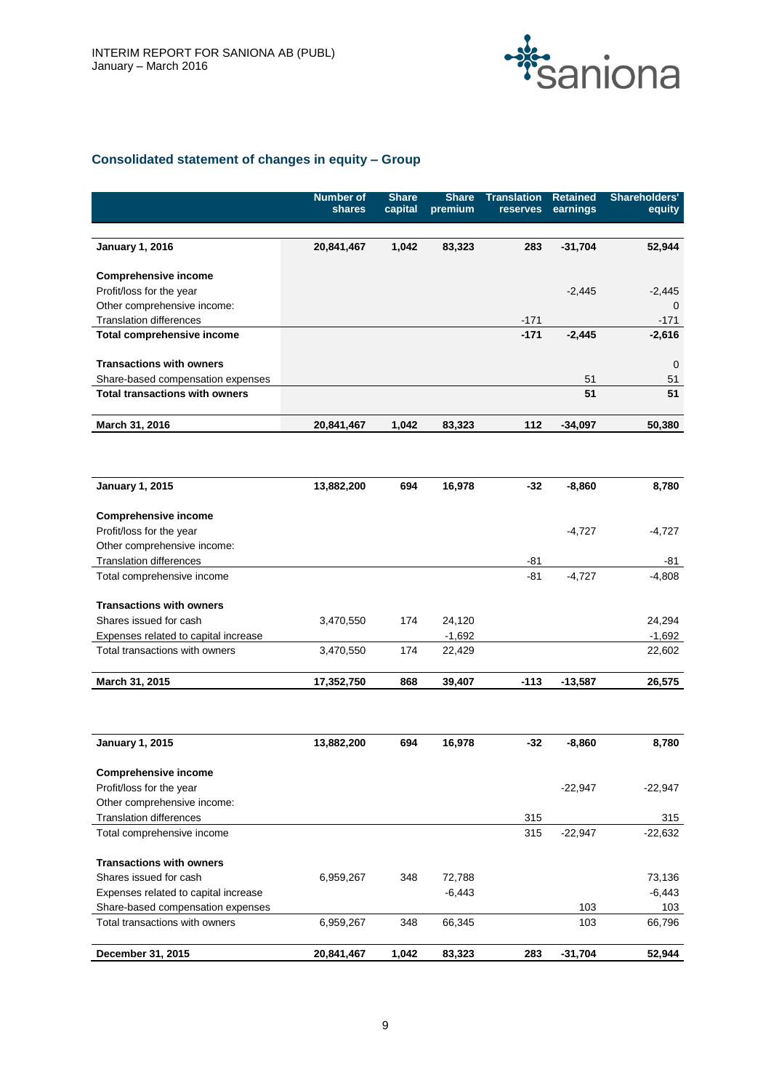

# **Consolidated statement of changes in equity – Group**

|                                                               | <b>Number of</b><br>shares | <b>Share</b><br>capital | <b>Share</b><br>premium | <b>Translation</b> | <b>Retained</b> | <b>Shareholders'</b> |
|---------------------------------------------------------------|----------------------------|-------------------------|-------------------------|--------------------|-----------------|----------------------|
|                                                               |                            |                         |                         | reserves           | earnings        | equity               |
|                                                               |                            |                         |                         |                    |                 |                      |
| <b>January 1, 2016</b>                                        | 20,841,467                 | 1,042                   | 83,323                  | 283                | $-31,704$       | 52,944               |
| <b>Comprehensive income</b>                                   |                            |                         |                         |                    |                 |                      |
| Profit/loss for the year                                      |                            |                         |                         |                    | $-2,445$        | $-2,445$             |
| Other comprehensive income:                                   |                            |                         |                         |                    |                 | $\Omega$             |
| <b>Translation differences</b>                                |                            |                         |                         | $-171$             |                 | -171                 |
| Total comprehensive income                                    |                            |                         |                         | $-171$             | $-2,445$        | $-2,616$             |
| <b>Transactions with owners</b>                               |                            |                         |                         |                    |                 | 0                    |
| Share-based compensation expenses                             |                            |                         |                         |                    | 51              | 51                   |
| <b>Total transactions with owners</b>                         |                            |                         |                         |                    | 51              | 51                   |
| March 31, 2016                                                | 20,841,467                 | 1,042                   | 83,323                  | 112                | $-34,097$       | 50,380               |
|                                                               |                            |                         |                         |                    |                 |                      |
|                                                               |                            |                         |                         |                    |                 |                      |
| <b>January 1, 2015</b>                                        | 13,882,200                 | 694                     | 16,978                  | -32                | $-8,860$        | 8,780                |
| <b>Comprehensive income</b>                                   |                            |                         |                         |                    |                 |                      |
| Profit/loss for the year                                      |                            |                         |                         |                    | $-4,727$        | $-4,727$             |
| Other comprehensive income:                                   |                            |                         |                         |                    |                 |                      |
| <b>Translation differences</b>                                |                            |                         |                         | -81                |                 | -81                  |
| Total comprehensive income                                    |                            |                         |                         | $-81$              | $-4,727$        | $-4,808$             |
| <b>Transactions with owners</b>                               |                            |                         |                         |                    |                 |                      |
| Shares issued for cash                                        | 3,470,550                  | 174                     | 24,120                  |                    |                 | 24,294               |
| Expenses related to capital increase                          |                            |                         | $-1,692$                |                    |                 | $-1,692$             |
| Total transactions with owners                                | 3,470,550                  | 174                     | 22,429                  |                    |                 | 22,602               |
| March 31, 2015                                                | 17,352,750                 | 868                     | 39,407                  | $-113$             | $-13,587$       | 26,575               |
|                                                               |                            |                         |                         |                    |                 |                      |
| <b>January 1, 2015</b>                                        | 13,882,200                 | 694                     | 16,978                  | -32                | $-8,860$        | 8,780                |
|                                                               |                            |                         |                         |                    |                 |                      |
| <b>Comprehensive income</b>                                   |                            |                         |                         |                    |                 |                      |
| Profit/loss for the year                                      |                            |                         |                         |                    | $-22,947$       | $-22,947$            |
| Other comprehensive income:<br><b>Translation differences</b> |                            |                         |                         | 315                |                 |                      |
| Total comprehensive income                                    |                            |                         |                         | 315                | $-22,947$       | 315<br>$-22,632$     |
|                                                               |                            |                         |                         |                    |                 |                      |
| <b>Transactions with owners</b>                               |                            |                         |                         |                    |                 |                      |
| Shares issued for cash                                        | 6,959,267                  | 348                     | 72,788                  |                    |                 | 73,136               |
| Expenses related to capital increase                          |                            |                         | $-6,443$                |                    |                 | $-6,443$             |
| Share-based compensation expenses                             |                            |                         |                         |                    | 103             | 103                  |
| Total transactions with owners                                | 6,959,267                  | 348                     | 66,345                  |                    | 103             | 66,796               |
| December 31, 2015                                             | 20,841,467                 | 1,042                   | 83,323                  | 283                | $-31,704$       | 52,944               |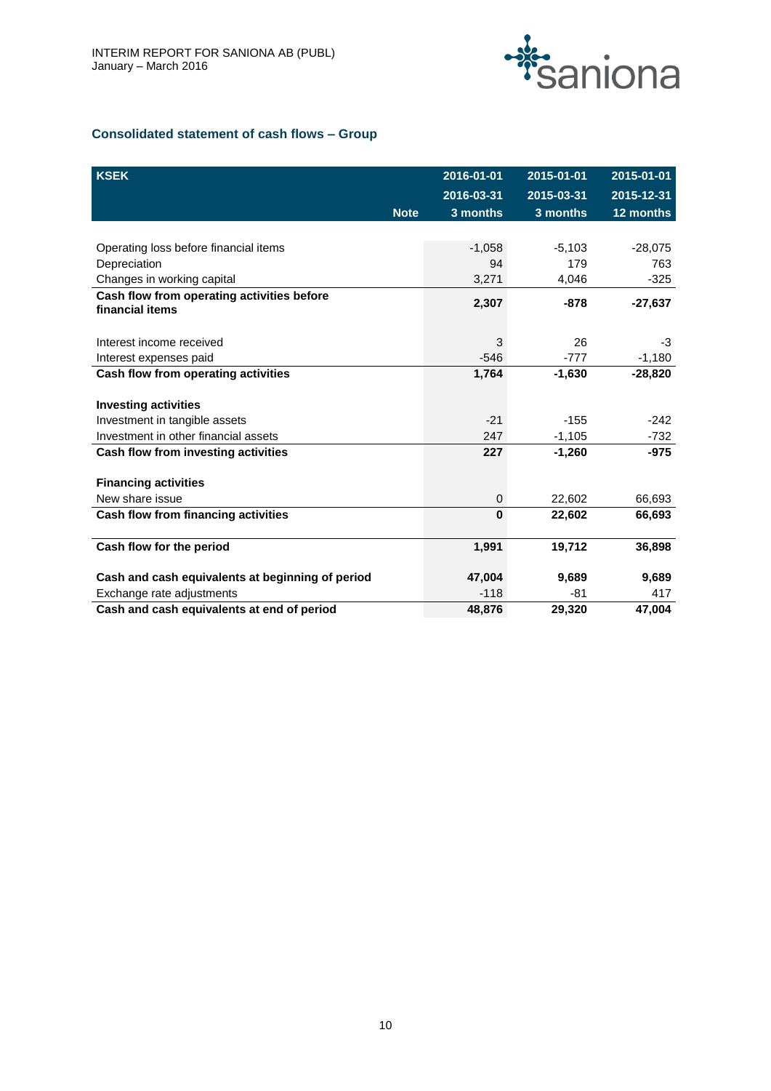

# **Consolidated statement of cash flows – Group**

| <b>KSEK</b>                                                   |             | 2016-01-01 | 2015-01-01 | 2015-01-01 |
|---------------------------------------------------------------|-------------|------------|------------|------------|
|                                                               |             | 2016-03-31 | 2015-03-31 | 2015-12-31 |
|                                                               | <b>Note</b> | 3 months   | 3 months   | 12 months  |
|                                                               |             |            |            |            |
| Operating loss before financial items                         |             | $-1,058$   | $-5,103$   | $-28,075$  |
| Depreciation                                                  |             | 94         | 179        | 763        |
| Changes in working capital                                    |             | 3,271      | 4,046      | $-325$     |
| Cash flow from operating activities before<br>financial items |             | 2,307      | $-878$     | $-27,637$  |
| Interest income received                                      |             | 3          | 26         | -3         |
| Interest expenses paid                                        |             | $-546$     | $-777$     | $-1,180$   |
| Cash flow from operating activities                           |             | 1,764      | $-1,630$   | $-28,820$  |
|                                                               |             |            |            |            |
| <b>Investing activities</b>                                   |             |            |            |            |
| Investment in tangible assets                                 |             | $-21$      | $-155$     | $-242$     |
| Investment in other financial assets                          |             | 247        | $-1,105$   | $-732$     |
| Cash flow from investing activities                           |             | 227        | $-1,260$   | $-975$     |
| <b>Financing activities</b>                                   |             |            |            |            |
| New share issue                                               |             | 0          | 22,602     | 66,693     |
| Cash flow from financing activities                           |             | $\bf{0}$   | 22,602     | 66,693     |
| Cash flow for the period                                      |             | 1,991      | 19,712     | 36,898     |
| Cash and cash equivalents at beginning of period              |             | 47.004     | 9,689      | 9,689      |
| Exchange rate adjustments                                     |             | $-118$     | -81        | 417        |
| Cash and cash equivalents at end of period                    |             | 48,876     | 29,320     | 47,004     |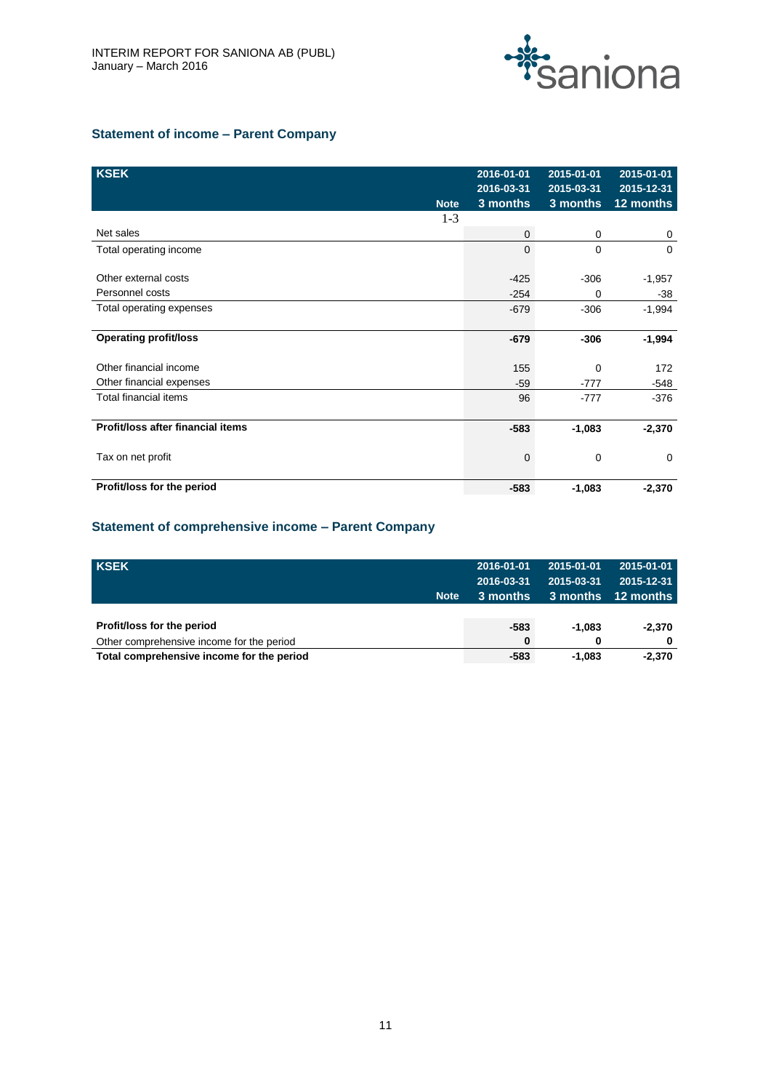

# **Statement of income – Parent Company**

| <b>KSEK</b>                       | <b>Note</b> | 2016-01-01<br>2016-03-31<br>3 months | 2015-01-01<br>2015-03-31<br>3 months | 2015-01-01<br>2015-12-31<br>12 months |
|-----------------------------------|-------------|--------------------------------------|--------------------------------------|---------------------------------------|
|                                   | $1-3$       |                                      |                                      |                                       |
| Net sales                         |             | $\mathbf 0$                          | 0                                    | 0                                     |
| Total operating income            |             | $\mathbf 0$                          | 0                                    | $\Omega$                              |
| Other external costs              |             | $-425$                               | $-306$                               | $-1,957$                              |
| Personnel costs                   |             | $-254$                               | 0                                    | $-38$                                 |
| Total operating expenses          |             | $-679$                               | $-306$                               | $-1,994$                              |
| <b>Operating profit/loss</b>      |             | $-679$                               | $-306$                               | $-1,994$                              |
| Other financial income            |             | 155                                  | 0                                    | 172                                   |
| Other financial expenses          |             | $-59$                                | $-777$                               | -548                                  |
| Total financial items             |             | 96                                   | $-777$                               | $-376$                                |
| Profit/loss after financial items |             | $-583$                               | $-1,083$                             | $-2,370$                              |
| Tax on net profit                 |             | $\mathbf 0$                          | 0                                    | $\mathbf 0$                           |
| Profit/loss for the period        |             | $-583$                               | $-1,083$                             | $-2,370$                              |

# **Statement of comprehensive income – Parent Company**

| <b>KSEK</b>                               |             | 2016-01-01 | 2015-01-01 | 2015-01-01         |
|-------------------------------------------|-------------|------------|------------|--------------------|
|                                           |             | 2016-03-31 | 2015-03-31 | 2015-12-31         |
|                                           | <b>Note</b> | 3 months   |            | 3 months 12 months |
|                                           |             |            |            |                    |
| Profit/loss for the period                |             | $-583$     | -1.083     | $-2,370$           |
| Other comprehensive income for the period |             | $\bf{0}$   | 0          | 0                  |
| Total comprehensive income for the period |             | $-583$     | -1.083     | $-2,370$           |
|                                           |             |            |            |                    |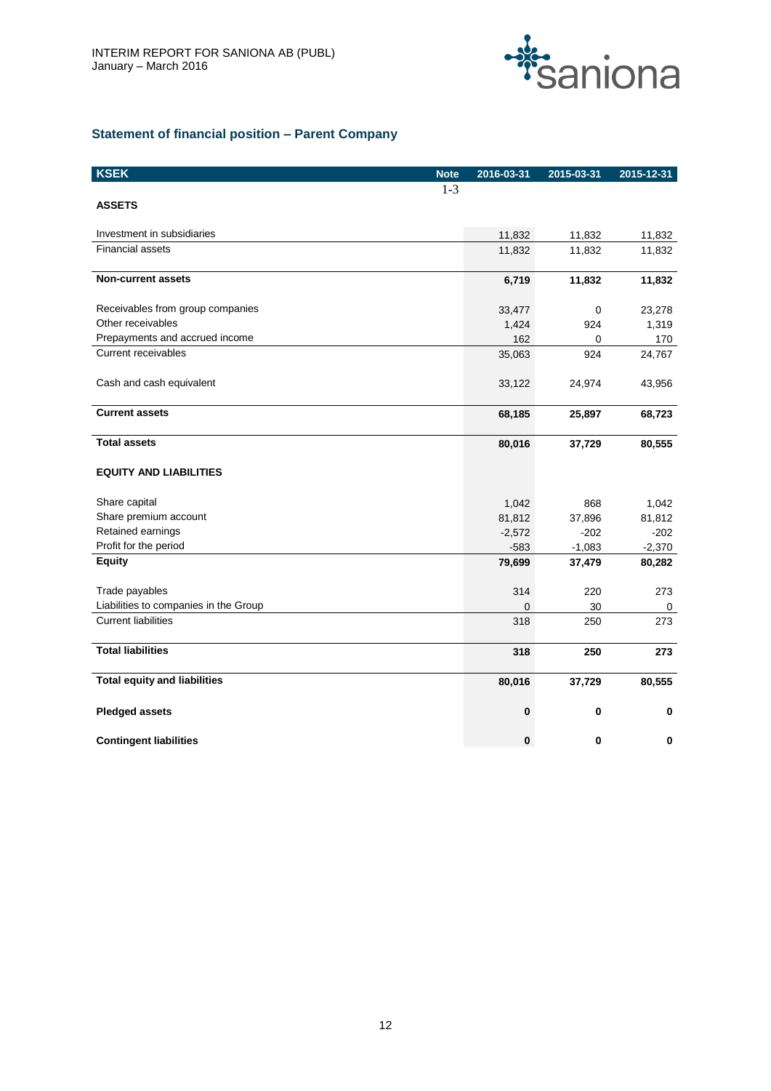

# **Statement of financial position – Parent Company**

| <b>KSEK</b>                           | <b>Note</b> | 2016-03-31 | 2015-03-31 | 2015-12-31 |
|---------------------------------------|-------------|------------|------------|------------|
|                                       | $1 - 3$     |            |            |            |
| <b>ASSETS</b>                         |             |            |            |            |
| Investment in subsidiaries            |             | 11,832     | 11,832     | 11,832     |
| <b>Financial assets</b>               |             | 11,832     | 11,832     | 11,832     |
| <b>Non-current assets</b>             |             | 6,719      | 11,832     | 11,832     |
| Receivables from group companies      |             | 33,477     | 0          | 23,278     |
| Other receivables                     |             | 1,424      | 924        | 1,319      |
| Prepayments and accrued income        |             | 162        | 0          | 170        |
| <b>Current receivables</b>            |             | 35,063     | 924        | 24,767     |
| Cash and cash equivalent              |             | 33,122     | 24,974     | 43,956     |
| <b>Current assets</b>                 |             | 68,185     | 25,897     | 68,723     |
| <b>Total assets</b>                   |             | 80,016     | 37,729     | 80,555     |
| <b>EQUITY AND LIABILITIES</b>         |             |            |            |            |
| Share capital                         |             | 1,042      | 868        | 1,042      |
| Share premium account                 |             | 81,812     | 37,896     | 81,812     |
| Retained earnings                     |             | $-2,572$   | $-202$     | $-202$     |
| Profit for the period                 |             | $-583$     | $-1,083$   | $-2,370$   |
| <b>Equity</b>                         |             | 79,699     | 37,479     | 80,282     |
| Trade payables                        |             | 314        | 220        | 273        |
| Liabilities to companies in the Group |             | $\Omega$   | 30         | 0          |
| <b>Current liabilities</b>            |             | 318        | 250        | 273        |
| <b>Total liabilities</b>              |             | 318        | 250        | 273        |
| <b>Total equity and liabilities</b>   |             | 80,016     | 37,729     | 80,555     |
| <b>Pledged assets</b>                 |             | 0          | 0          | $\bf{0}$   |
| <b>Contingent liabilities</b>         |             | $\bf{0}$   | 0          | $\bf{0}$   |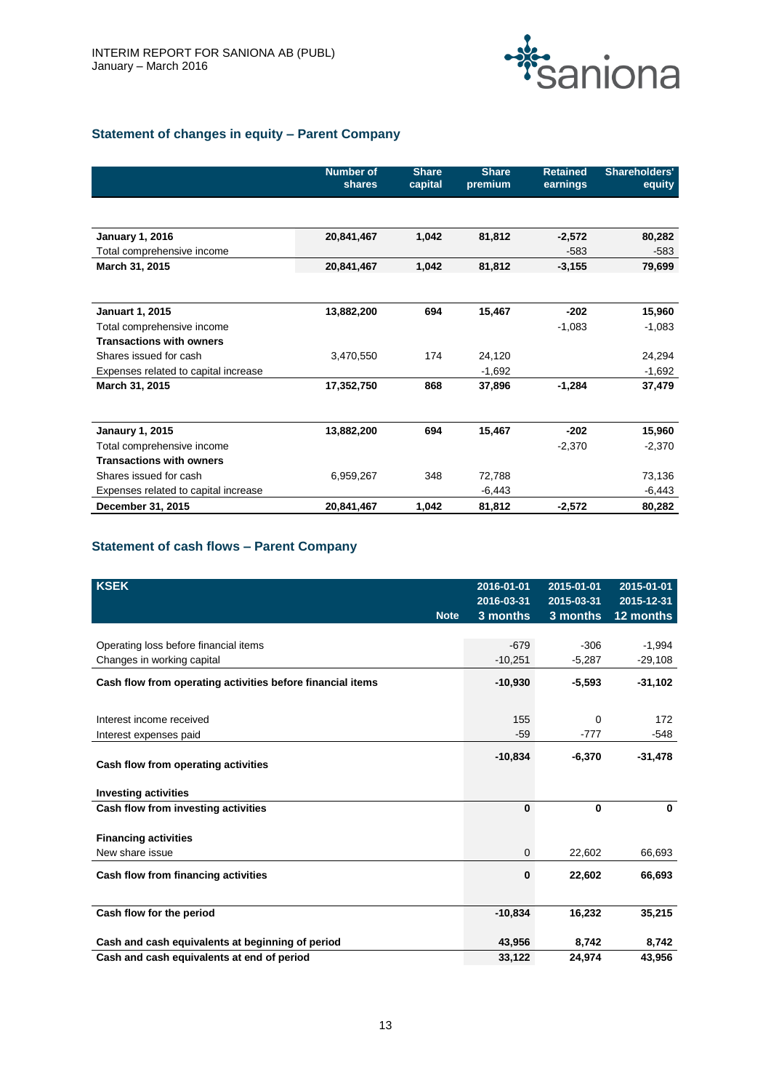

# **Statement of changes in equity – Parent Company**

|                                      | <b>Number of</b><br>shares | <b>Share</b><br>capital | <b>Share</b><br>premium | <b>Retained</b><br>earnings | Shareholders'<br>equity |
|--------------------------------------|----------------------------|-------------------------|-------------------------|-----------------------------|-------------------------|
|                                      |                            |                         |                         |                             |                         |
| <b>January 1, 2016</b>               | 20,841,467                 | 1,042                   | 81,812                  | $-2,572$                    | 80,282                  |
| Total comprehensive income           |                            |                         |                         | $-583$                      | -583                    |
| March 31, 2015                       | 20,841,467                 | 1,042                   | 81,812                  | $-3,155$                    | 79,699                  |
| <b>Januart 1, 2015</b>               | 13,882,200                 | 694                     | 15,467                  | $-202$                      | 15,960                  |
| Total comprehensive income           |                            |                         |                         | $-1,083$                    | $-1,083$                |
| <b>Transactions with owners</b>      |                            |                         |                         |                             |                         |
| Shares issued for cash               | 3,470,550                  | 174                     | 24,120                  |                             | 24,294                  |
| Expenses related to capital increase |                            |                         | $-1,692$                |                             | $-1,692$                |
| March 31, 2015                       | 17,352,750                 | 868                     | 37,896                  | $-1,284$                    | 37,479                  |
|                                      |                            |                         |                         |                             |                         |
| <b>Janaury 1, 2015</b>               | 13,882,200                 | 694                     | 15,467                  | $-202$                      | 15,960                  |
| Total comprehensive income           |                            |                         |                         | $-2,370$                    | $-2,370$                |
| <b>Transactions with owners</b>      |                            |                         |                         |                             |                         |
| Shares issued for cash               | 6,959,267                  | 348                     | 72,788                  |                             | 73,136                  |
| Expenses related to capital increase |                            |                         | $-6,443$                |                             | $-6,443$                |
| December 31, 2015                    | 20,841,467                 | 1,042                   | 81,812                  | $-2,572$                    | 80,282                  |

# **Statement of cash flows – Parent Company**

| <b>KSEK</b>                                                |             | 2016-01-01<br>2016-03-31 | 2015-01-01<br>2015-03-31 | 2015-01-01<br>2015-12-31 |
|------------------------------------------------------------|-------------|--------------------------|--------------------------|--------------------------|
|                                                            | <b>Note</b> | 3 months                 | 3 months                 | 12 months                |
|                                                            |             |                          |                          |                          |
| Operating loss before financial items                      |             | $-679$                   | $-306$                   | $-1,994$                 |
| Changes in working capital                                 |             | $-10,251$                | $-5,287$                 | $-29,108$                |
| Cash flow from operating activities before financial items |             | $-10,930$                | $-5,593$                 | $-31,102$                |
|                                                            |             |                          |                          |                          |
| Interest income received                                   |             | 155                      | 0                        | 172                      |
| Interest expenses paid                                     |             | $-59$                    | $-777$                   | -548                     |
| Cash flow from operating activities                        |             | $-10,834$                | $-6.370$                 | $-31,478$                |
| <b>Investing activities</b>                                |             |                          |                          |                          |
| Cash flow from investing activities                        |             | 0                        | $\bf{0}$                 | $\mathbf{0}$             |
| <b>Financing activities</b>                                |             |                          |                          |                          |
| New share issue                                            |             | 0                        | 22,602                   | 66,693                   |
| Cash flow from financing activities                        |             | 0                        | 22,602                   | 66,693                   |
| Cash flow for the period                                   |             | $-10,834$                | 16,232                   | 35,215                   |
| Cash and cash equivalents at beginning of period           |             | 43,956                   | 8,742                    | 8,742                    |
| Cash and cash equivalents at end of period                 |             | 33,122                   | 24,974                   | 43,956                   |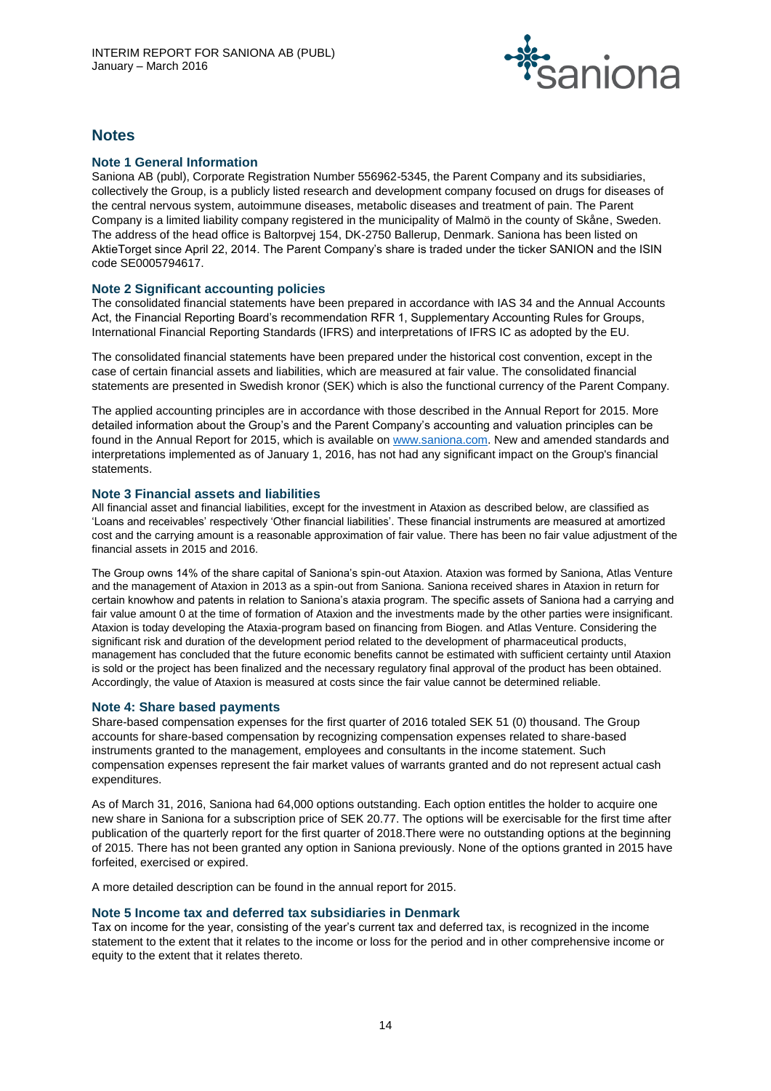

# **Notes**

# **Note 1 General Information**

Saniona AB (publ), Corporate Registration Number 556962-5345, the Parent Company and its subsidiaries, collectively the Group, is a publicly listed research and development company focused on drugs for diseases of the central nervous system, autoimmune diseases, metabolic diseases and treatment of pain. The Parent Company is a limited liability company registered in the municipality of Malmö in the county of Skåne, Sweden. The address of the head office is Baltorpvej 154, DK-2750 Ballerup, Denmark. Saniona has been listed on AktieTorget since April 22, 2014. The Parent Company's share is traded under the ticker SANION and the ISIN code SE0005794617.

# **Note 2 Significant accounting policies**

The consolidated financial statements have been prepared in accordance with IAS 34 and the Annual Accounts Act, the Financial Reporting Board's recommendation RFR 1, Supplementary Accounting Rules for Groups, International Financial Reporting Standards (IFRS) and interpretations of IFRS IC as adopted by the EU.

The consolidated financial statements have been prepared under the historical cost convention, except in the case of certain financial assets and liabilities, which are measured at fair value. The consolidated financial statements are presented in Swedish kronor (SEK) which is also the functional currency of the Parent Company.

The applied accounting principles are in accordance with those described in the Annual Report for 2015. More detailed information about the Group's and the Parent Company's accounting and valuation principles can be found in the Annual Report for 2015, which is available o[n www.saniona.com.](http://www.saniona.com/) New and amended standards and interpretations implemented as of January 1, 2016, has not had any significant impact on the Group's financial statements.

# **Note 3 Financial assets and liabilities**

All financial asset and financial liabilities, except for the investment in Ataxion as described below, are classified as 'Loans and receivables' respectively 'Other financial liabilities'. These financial instruments are measured at amortized cost and the carrying amount is a reasonable approximation of fair value. There has been no fair value adjustment of the financial assets in 2015 and 2016.

The Group owns 14% of the share capital of Saniona's spin-out Ataxion. Ataxion was formed by Saniona, Atlas Venture and the management of Ataxion in 2013 as a spin-out from Saniona. Saniona received shares in Ataxion in return for certain knowhow and patents in relation to Saniona's ataxia program. The specific assets of Saniona had a carrying and fair value amount 0 at the time of formation of Ataxion and the investments made by the other parties were insignificant. Ataxion is today developing the Ataxia-program based on financing from Biogen. and Atlas Venture. Considering the significant risk and duration of the development period related to the development of pharmaceutical products, management has concluded that the future economic benefits cannot be estimated with sufficient certainty until Ataxion is sold or the project has been finalized and the necessary regulatory final approval of the product has been obtained. Accordingly, the value of Ataxion is measured at costs since the fair value cannot be determined reliable.

# **Note 4: Share based payments**

Share-based compensation expenses for the first quarter of 2016 totaled SEK 51 (0) thousand. The Group accounts for share-based compensation by recognizing compensation expenses related to share-based instruments granted to the management, employees and consultants in the income statement. Such compensation expenses represent the fair market values of warrants granted and do not represent actual cash expenditures.

As of March 31, 2016, Saniona had 64,000 options outstanding. Each option entitles the holder to acquire one new share in Saniona for a subscription price of SEK 20.77. The options will be exercisable for the first time after publication of the quarterly report for the first quarter of 2018.There were no outstanding options at the beginning of 2015. There has not been granted any option in Saniona previously. None of the options granted in 2015 have forfeited, exercised or expired.

A more detailed description can be found in the annual report for 2015.

# **Note 5 Income tax and deferred tax subsidiaries in Denmark**

Tax on income for the year, consisting of the year's current tax and deferred tax, is recognized in the income statement to the extent that it relates to the income or loss for the period and in other comprehensive income or equity to the extent that it relates thereto.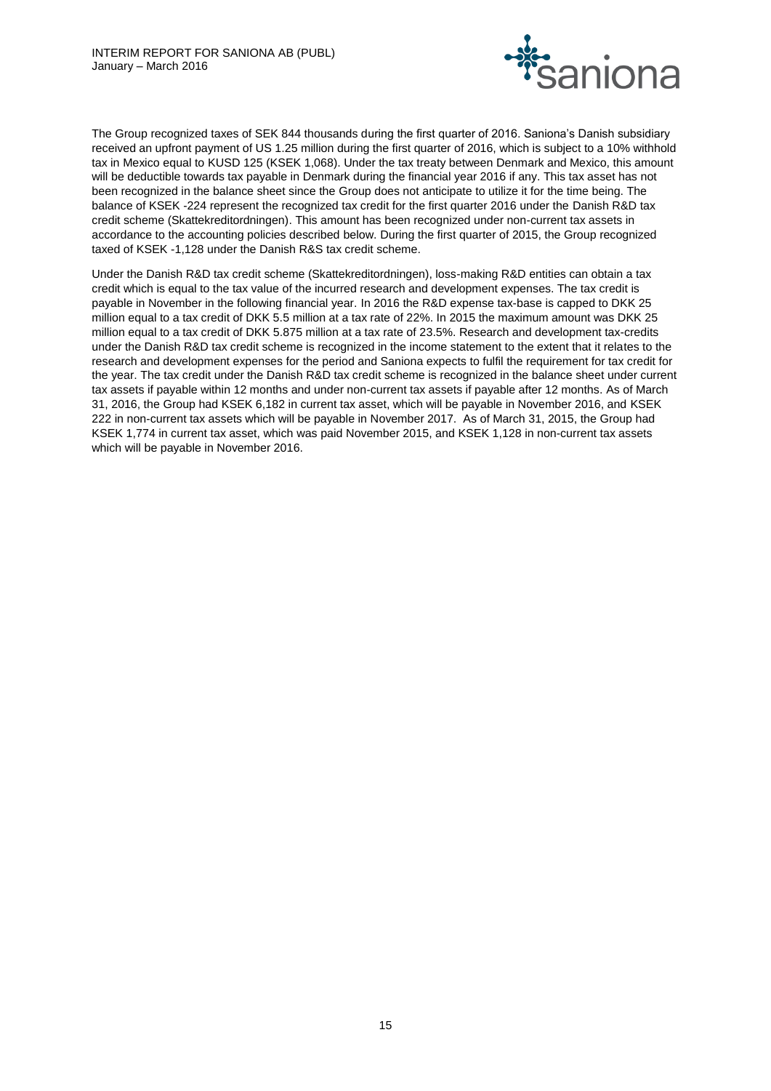

The Group recognized taxes of SEK 844 thousands during the first quarter of 2016. Saniona's Danish subsidiary received an upfront payment of US 1.25 million during the first quarter of 2016, which is subject to a 10% withhold tax in Mexico equal to KUSD 125 (KSEK 1,068). Under the tax treaty between Denmark and Mexico, this amount will be deductible towards tax payable in Denmark during the financial year 2016 if any. This tax asset has not been recognized in the balance sheet since the Group does not anticipate to utilize it for the time being. The balance of KSEK -224 represent the recognized tax credit for the first quarter 2016 under the Danish R&D tax credit scheme (Skattekreditordningen). This amount has been recognized under non-current tax assets in accordance to the accounting policies described below. During the first quarter of 2015, the Group recognized taxed of KSEK -1,128 under the Danish R&S tax credit scheme.

Under the Danish R&D tax credit scheme (Skattekreditordningen), loss-making R&D entities can obtain a tax credit which is equal to the tax value of the incurred research and development expenses. The tax credit is payable in November in the following financial year. In 2016 the R&D expense tax-base is capped to DKK 25 million equal to a tax credit of DKK 5.5 million at a tax rate of 22%. In 2015 the maximum amount was DKK 25 million equal to a tax credit of DKK 5.875 million at a tax rate of 23.5%. Research and development tax-credits under the Danish R&D tax credit scheme is recognized in the income statement to the extent that it relates to the research and development expenses for the period and Saniona expects to fulfil the requirement for tax credit for the year. The tax credit under the Danish R&D tax credit scheme is recognized in the balance sheet under current tax assets if payable within 12 months and under non-current tax assets if payable after 12 months. As of March 31, 2016, the Group had KSEK 6,182 in current tax asset, which will be payable in November 2016, and KSEK 222 in non-current tax assets which will be payable in November 2017. As of March 31, 2015, the Group had KSEK 1,774 in current tax asset, which was paid November 2015, and KSEK 1,128 in non-current tax assets which will be payable in November 2016.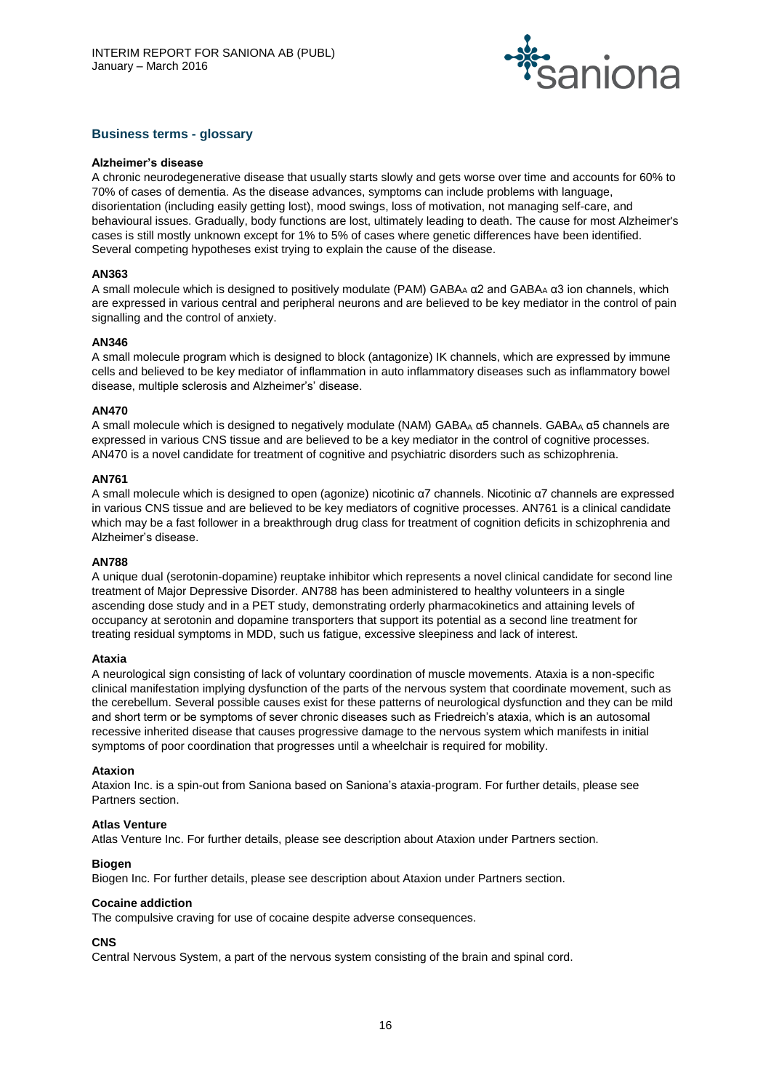

# **Business terms - glossary**

#### **Alzheimer's disease**

A chronic neurodegenerative disease that usually starts slowly and gets worse over time and accounts for 60% to 70% of cases of dementia. As the disease advances, symptoms can include problems with language, disorientation (including easily getting lost), mood swings, loss of motivation, not managing self-care, and behavioural issues. Gradually, body functions are lost, ultimately leading to death. The cause for most Alzheimer's cases is still mostly unknown except for 1% to 5% of cases where genetic differences have been identified. Several competing hypotheses exist trying to explain the cause of the disease.

### **AN363**

A small molecule which is designed to positively modulate (PAM) GABA<sup>A</sup> α2 and GABA<sup>A</sup> α3 ion channels, which are expressed in various central and peripheral neurons and are believed to be key mediator in the control of pain signalling and the control of anxiety.

#### **AN346**

A small molecule program which is designed to block (antagonize) IK channels, which are expressed by immune cells and believed to be key mediator of inflammation in auto inflammatory diseases such as inflammatory bowel disease, multiple sclerosis and Alzheimer's' disease.

#### **AN470**

A small molecule which is designed to negatively modulate (NAM) GABA<sup>A</sup> α5 channels. GABA<sup>A</sup> α5 channels are expressed in various CNS tissue and are believed to be a key mediator in the control of cognitive processes. AN470 is a novel candidate for treatment of cognitive and psychiatric disorders such as schizophrenia.

#### **AN761**

A small molecule which is designed to open (agonize) nicotinic α7 channels. Nicotinic α7 channels are expressed in various CNS tissue and are believed to be key mediators of cognitive processes. AN761 is a clinical candidate which may be a fast follower in a breakthrough drug class for treatment of cognition deficits in schizophrenia and Alzheimer's disease.

#### **AN788**

A unique dual (serotonin-dopamine) reuptake inhibitor which represents a novel clinical candidate for second line treatment of Major Depressive Disorder. AN788 has been administered to healthy volunteers in a single ascending dose study and in a PET study, demonstrating orderly pharmacokinetics and attaining levels of occupancy at serotonin and dopamine transporters that support its potential as a second line treatment for treating residual symptoms in MDD, such us fatigue, excessive sleepiness and lack of interest.

#### **Ataxia**

A neurological sign consisting of lack of voluntary coordination of muscle movements. Ataxia is a non-specific clinical manifestation implying dysfunction of the parts of the nervous system that coordinate movement, such as the cerebellum. Several possible causes exist for these patterns of neurological dysfunction and they can be mild and short term or be symptoms of sever chronic diseases such as Friedreich's ataxia, which is an autosomal recessive inherited disease that causes progressive damage to the nervous system which manifests in initial symptoms of poor coordination that progresses until a wheelchair is required for mobility.

#### **Ataxion**

Ataxion Inc. is a spin-out from Saniona based on Saniona's ataxia-program. For further details, please see Partners section.

#### **Atlas Venture**

Atlas Venture Inc. For further details, please see description about Ataxion under Partners section.

# **Biogen**

Biogen Inc. For further details, please see description about Ataxion under Partners section.

#### **Cocaine addiction**

The compulsive craving for use of cocaine despite adverse consequences.

# **CNS**

Central Nervous System, a part of the nervous system consisting of the brain and spinal cord.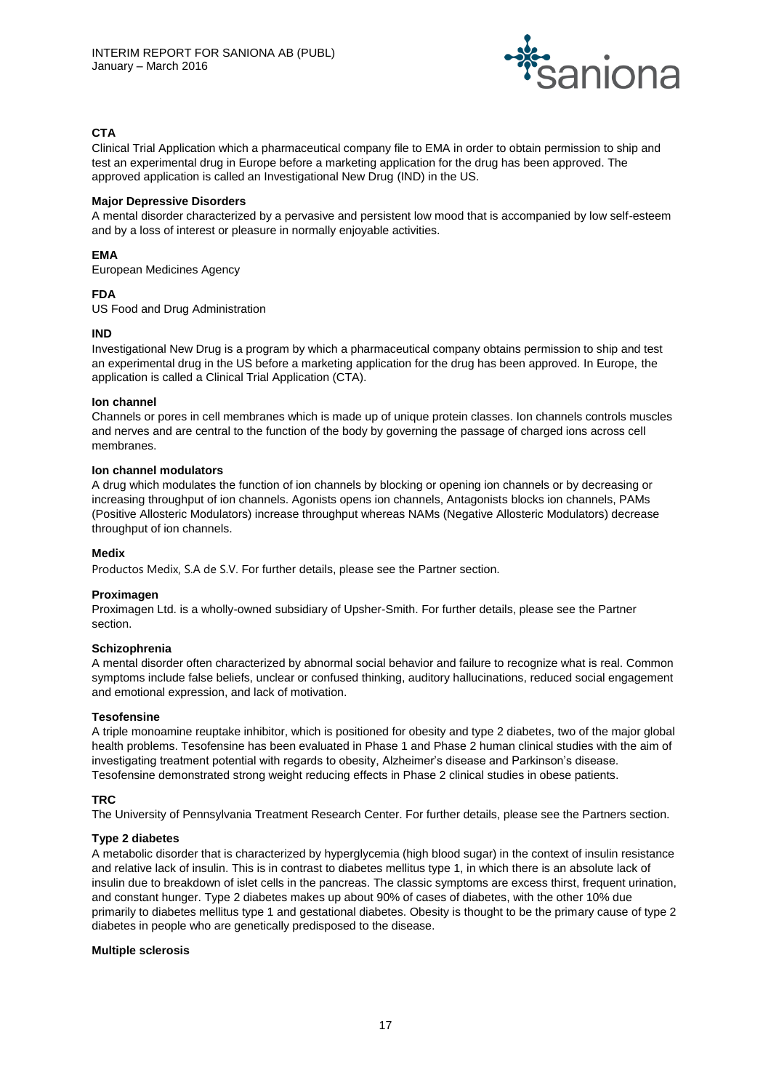

# **CTA**

Clinical Trial Application which a pharmaceutical company file to EMA in order to obtain permission to ship and test an experimental drug in Europe before a marketing application for the drug has been approved. The approved application is called an Investigational New Drug (IND) in the US.

# **Major Depressive Disorders**

A mental disorder characterized by a pervasive and persistent low mood that is accompanied by low self-esteem and by a loss of interest or pleasure in normally enjoyable activities.

# **EMA**

European Medicines Agency

# **FDA**

US Food and Drug Administration

# **IND**

Investigational New Drug is a program by which a pharmaceutical company obtains permission to ship and test an experimental drug in the US before a marketing application for the drug has been approved. In Europe, the application is called a Clinical Trial Application (CTA).

# **Ion channel**

Channels or pores in cell membranes which is made up of unique protein classes. Ion channels controls muscles and nerves and are central to the function of the body by governing the passage of charged ions across cell membranes.

#### **Ion channel modulators**

A drug which modulates the function of ion channels by blocking or opening ion channels or by decreasing or increasing throughput of ion channels. Agonists opens ion channels, Antagonists blocks ion channels, PAMs (Positive Allosteric Modulators) increase throughput whereas NAMs (Negative Allosteric Modulators) decrease throughput of ion channels.

# **Medix**

Productos Medix, S.A de S.V. For further details, please see the Partner section.

# **Proximagen**

Proximagen Ltd. is a wholly-owned subsidiary of Upsher-Smith. For further details, please see the Partner section.

# **Schizophrenia**

A mental disorder often characterized by abnormal social behavior and failure to recognize what is real. Common symptoms include false beliefs, unclear or confused thinking, auditory hallucinations, reduced social engagement and emotional expression, and lack of motivation.

# **Tesofensine**

A triple monoamine reuptake inhibitor, which is positioned for obesity and type 2 diabetes, two of the major global health problems. Tesofensine has been evaluated in Phase 1 and Phase 2 human clinical studies with the aim of investigating treatment potential with regards to obesity, Alzheimer's disease and Parkinson's disease. Tesofensine demonstrated strong weight reducing effects in Phase 2 clinical studies in obese patients.

# **TRC**

The University of Pennsylvania Treatment Research Center. For further details, please see the Partners section.

# **Type 2 diabetes**

A metabolic disorder that is characterized by hyperglycemia (high blood sugar) in the context of insulin resistance and relative lack of insulin. This is in contrast to diabetes mellitus type 1, in which there is an absolute lack of insulin due to breakdown of islet cells in the pancreas. The classic symptoms are excess thirst, frequent urination, and constant hunger. Type 2 diabetes makes up about 90% of cases of diabetes, with the other 10% due primarily to diabetes mellitus type 1 and gestational diabetes. Obesity is thought to be the primary cause of type 2 diabetes in people who are genetically predisposed to the disease.

#### **Multiple sclerosis**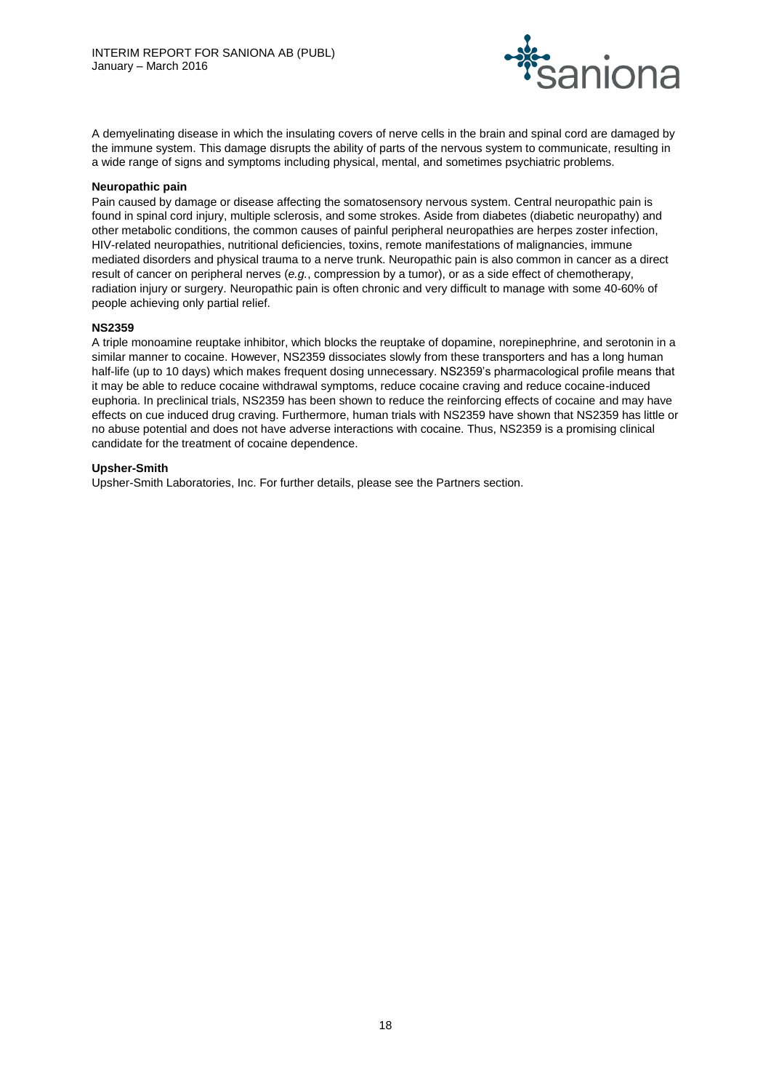

A demyelinating disease in which the insulating covers of nerve cells in the brain and spinal cord are damaged by the immune system. This damage disrupts the ability of parts of the nervous system to communicate, resulting in a wide range of signs and symptoms including physical, mental, and sometimes psychiatric problems.

#### **Neuropathic pain**

Pain caused by damage or disease affecting the somatosensory nervous system. Central neuropathic pain is found in spinal cord injury, multiple sclerosis, and some strokes. Aside from diabetes (diabetic neuropathy) and other metabolic conditions, the common causes of painful peripheral neuropathies are herpes zoster infection, HIV-related neuropathies, nutritional deficiencies, toxins, remote manifestations of malignancies, immune mediated disorders and physical trauma to a nerve trunk. Neuropathic pain is also common in cancer as a direct result of cancer on peripheral nerves (*e.g.*, compression by a tumor), or as a side effect of chemotherapy, radiation injury or surgery. Neuropathic pain is often chronic and very difficult to manage with some 40-60% of people achieving only partial relief.

#### **NS2359**

A triple monoamine reuptake inhibitor, which blocks the reuptake of dopamine, norepinephrine, and serotonin in a similar manner to cocaine. However, NS2359 dissociates slowly from these transporters and has a long human half-life (up to 10 days) which makes frequent dosing unnecessary. NS2359's pharmacological profile means that it may be able to reduce cocaine withdrawal symptoms, reduce cocaine craving and reduce cocaine-induced euphoria. In preclinical trials, NS2359 has been shown to reduce the reinforcing effects of cocaine and may have effects on cue induced drug craving. Furthermore, human trials with NS2359 have shown that NS2359 has little or no abuse potential and does not have adverse interactions with cocaine. Thus, NS2359 is a promising clinical candidate for the treatment of cocaine dependence.

#### **Upsher-Smith**

Upsher-Smith Laboratories, Inc. For further details, please see the Partners section.